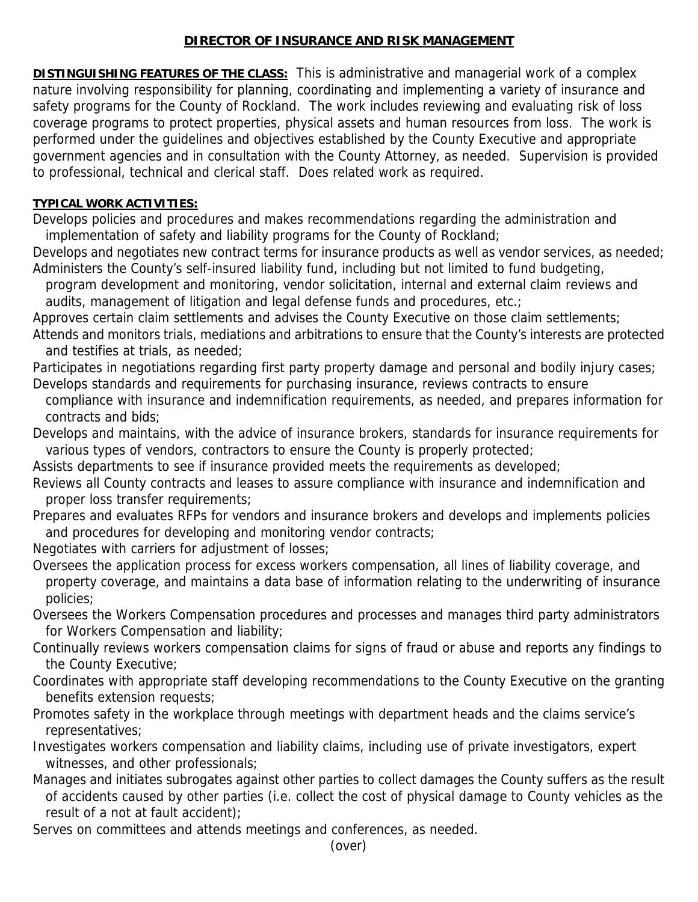## **DIRECTOR OF INSURANCE AND RISK MANAGEMENT**

**DISTINGUISHING FEATURES OF THE CLASS:** This is administrative and managerial work of a complex nature involving responsibility for planning, coordinating and implementing a variety of insurance and safety programs for the County of Rockland. The work includes reviewing and evaluating risk of loss coverage programs to protect properties, physical assets and human resources from loss. The work is performed under the guidelines and objectives established by the County Executive and appropriate government agencies and in consultation with the County Attorney, as needed. Supervision is provided to professional, technical and clerical staff. Does related work as required.

## **TYPICAL WORK ACTIVITIES:**

Develops policies and procedures and makes recommendations regarding the administration and implementation of safety and liability programs for the County of Rockland;

Develops and negotiates new contract terms for insurance products as well as vendor services, as needed; Administers the County's self-insured liability fund, including but not limited to fund budgeting,

 program development and monitoring, vendor solicitation, internal and external claim reviews and audits, management of litigation and legal defense funds and procedures, etc.;

Approves certain claim settlements and advises the County Executive on those claim settlements;

Attends and monitors trials, mediations and arbitrations to ensure that the County's interests are protected and testifies at trials, as needed;

Participates in negotiations regarding first party property damage and personal and bodily injury cases; Develops standards and requirements for purchasing insurance, reviews contracts to ensure

 compliance with insurance and indemnification requirements, as needed, and prepares information for contracts and bids;

Develops and maintains, with the advice of insurance brokers, standards for insurance requirements for various types of vendors, contractors to ensure the County is properly protected;

Assists departments to see if insurance provided meets the requirements as developed;

Reviews all County contracts and leases to assure compliance with insurance and indemnification and proper loss transfer requirements;

Prepares and evaluates RFPs for vendors and insurance brokers and develops and implements policies and procedures for developing and monitoring vendor contracts;

Negotiates with carriers for adjustment of losses;

- Oversees the application process for excess workers compensation, all lines of liability coverage, and property coverage, and maintains a data base of information relating to the underwriting of insurance policies;
- Oversees the Workers Compensation procedures and processes and manages third party administrators for Workers Compensation and liability;
- Continually reviews workers compensation claims for signs of fraud or abuse and reports any findings to the County Executive;
- Coordinates with appropriate staff developing recommendations to the County Executive on the granting benefits extension requests;
- Promotes safety in the workplace through meetings with department heads and the claims service's representatives;
- Investigates workers compensation and liability claims, including use of private investigators, expert witnesses, and other professionals;
- Manages and initiates subrogates against other parties to collect damages the County suffers as the result of accidents caused by other parties (i.e. collect the cost of physical damage to County vehicles as the result of a not at fault accident);

Serves on committees and attends meetings and conferences, as needed.